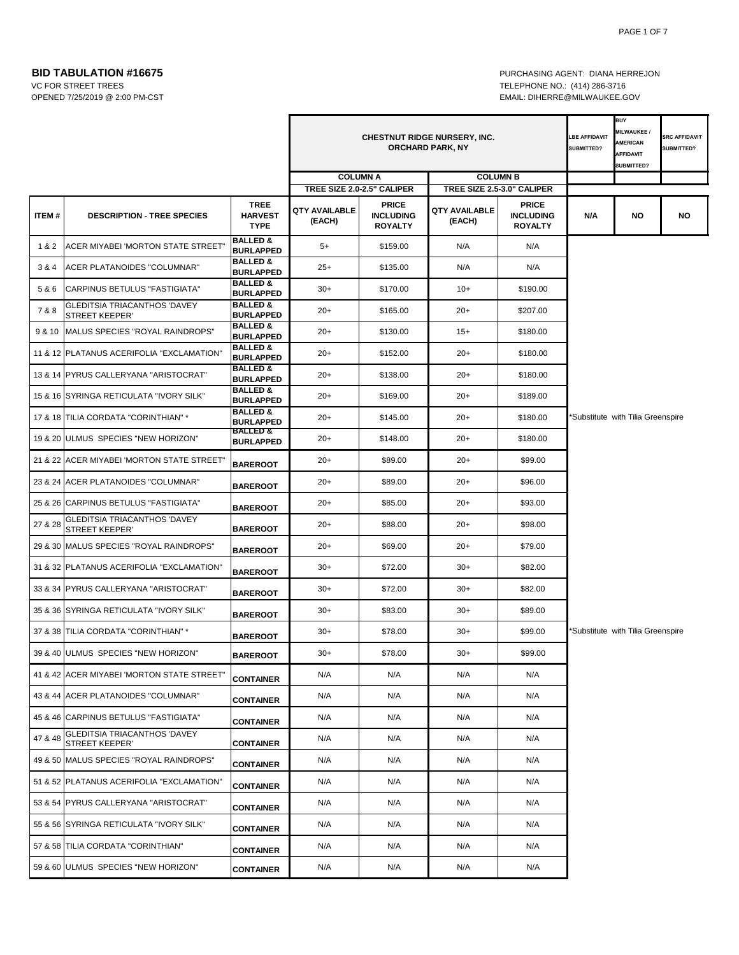OPENED 7/25/2019 @ 2:00 PM-CST EMAIL: DIHERRE@MILWAUKEE.GOV

**BID TABULATION #16675 PURCHASING AGENT: DIANA HERREJON** VC FOR STREET TREES TELEPHONE NO.: (414) 286-3716

|         |                                                              |                                         | <b>CHESTNUT RIDGE NURSERY, INC.</b><br><b>ORCHARD PARK, NY</b> |                                    |                         |                                            | LBE AFFIDAVIT<br><b>SUBMITTED?</b> | <b>BUY</b><br><b>MILWAUKEE/</b><br><b>AMERICAN</b><br><b>AFFIDAVIT</b><br>SUBMITTED? | <b>SRC AFFIDAVIT</b><br><b>SUBMITTED?</b> |
|---------|--------------------------------------------------------------|-----------------------------------------|----------------------------------------------------------------|------------------------------------|-------------------------|--------------------------------------------|------------------------------------|--------------------------------------------------------------------------------------|-------------------------------------------|
|         |                                                              |                                         |                                                                | <b>COLUMN A</b>                    | <b>COLUMN B</b>         |                                            |                                    |                                                                                      |                                           |
|         |                                                              | <b>TREE</b>                             | TREE SIZE 2.0-2.5" CALIPER                                     | <b>PRICE</b>                       |                         | TREE SIZE 2.5-3.0" CALIPER<br><b>PRICE</b> |                                    |                                                                                      |                                           |
| ITEM#   | <b>DESCRIPTION - TREE SPECIES</b>                            | <b>HARVEST</b><br><b>TYPE</b>           | <b>QTY AVAILABLE</b><br>(EACH)                                 | <b>INCLUDING</b><br><b>ROYALTY</b> | QTY AVAILABLE<br>(EACH) | <b>INCLUDING</b><br><b>ROYALTY</b>         | N/A                                | NO                                                                                   | <b>NO</b>                                 |
| 1&2     | <b>ACER MIYABEI 'MORTON STATE STREET'</b>                    | <b>BALLED &amp;</b><br><b>BURLAPPED</b> | $5+$                                                           | \$159.00                           | N/A                     | N/A                                        |                                    |                                                                                      |                                           |
| 3 & 4   | <b>ACER PLATANOIDES "COLUMNAR"</b>                           | <b>BALLED &amp;</b><br><b>BURLAPPED</b> | $25+$                                                          | \$135.00                           | N/A                     | N/A                                        |                                    |                                                                                      |                                           |
| 5&6     | CARPINUS BETULUS "FASTIGIATA"                                | <b>BALLED &amp;</b><br><b>BURLAPPED</b> | $30+$                                                          | \$170.00                           | $10+$                   | \$190.00                                   |                                    |                                                                                      |                                           |
| 7&8     | <b>GLEDITSIA TRIACANTHOS 'DAVEY</b><br><b>STREET KEEPER'</b> | <b>BALLED &amp;</b><br><b>BURLAPPED</b> | $20+$                                                          | \$165.00                           | $20+$                   | \$207.00                                   |                                    |                                                                                      |                                           |
| 9 & 10  | MALUS SPECIES "ROYAL RAINDROPS"                              | <b>BALLED &amp;</b><br><b>BURLAPPED</b> | $20+$                                                          | \$130.00                           | $15+$                   | \$180.00                                   |                                    |                                                                                      |                                           |
|         | 11 & 12 PLATANUS ACERIFOLIA "EXCLAMATION"                    | <b>BALLED &amp;</b><br><b>BURLAPPED</b> | $20+$                                                          | \$152.00                           | $20+$                   | \$180.00                                   |                                    |                                                                                      |                                           |
|         | 13 & 14 PYRUS CALLERYANA "ARISTOCRAT"                        | <b>BALLED &amp;</b><br><b>BURLAPPED</b> | $20+$                                                          | \$138.00                           | $20+$                   | \$180.00                                   |                                    |                                                                                      |                                           |
|         | 15 & 16 SYRINGA RETICULATA "IVORY SILK"                      | <b>BALLED &amp;</b><br><b>BURLAPPED</b> | $20+$                                                          | \$169.00                           | $20+$                   | \$189.00                                   |                                    |                                                                                      |                                           |
|         | 17 & 18 TILIA CORDATA "CORINTHIAN" *                         | <b>BALLED &amp;</b><br><b>BURLAPPED</b> | $20+$                                                          | \$145.00                           | $20+$                   | \$180.00                                   |                                    | Substitute with Tilia Greenspire*                                                    |                                           |
|         | 19 & 20 ULMUS SPECIES "NEW HORIZON"                          | <b>BALLED &amp;</b><br><b>BURLAPPED</b> | $20+$                                                          | \$148.00                           | $20+$                   | \$180.00                                   |                                    |                                                                                      |                                           |
|         | 21 & 22 ACER MIYABEI 'MORTON STATE STREET'                   | <b>BAREROOT</b>                         | $20+$                                                          | \$89.00                            | $20+$                   | \$99.00                                    |                                    |                                                                                      |                                           |
|         | 23 & 24 ACER PLATANOIDES "COLUMNAR"                          | <b>BAREROOT</b>                         | $20+$                                                          | \$89.00                            | $20+$                   | \$96.00                                    |                                    |                                                                                      |                                           |
|         | 25 & 26 CARPINUS BETULUS "FASTIGIATA"                        | <b>BAREROOT</b>                         | $20+$                                                          | \$85.00                            | $20+$                   | \$93.00                                    |                                    |                                                                                      |                                           |
| 27 & 28 | <b>GLEDITSIA TRIACANTHOS 'DAVEY</b><br><b>STREET KEEPER'</b> | <b>BAREROOT</b>                         | $20+$                                                          | \$88.00                            | $20+$                   | \$98.00                                    |                                    |                                                                                      |                                           |
|         | 29 & 30 MALUS SPECIES "ROYAL RAINDROPS"                      | <b>BAREROOT</b>                         | $20+$                                                          | \$69.00                            | $20+$                   | \$79.00                                    |                                    |                                                                                      |                                           |
|         | 31 & 32 PLATANUS ACERIFOLIA "EXCLAMATION"                    | <b>BAREROOT</b>                         | $30+$                                                          | \$72.00                            | $30+$                   | \$82.00                                    |                                    |                                                                                      |                                           |
|         | 33 & 34 PYRUS CALLERYANA "ARISTOCRAT"                        | <b>BAREROOT</b>                         | $30+$                                                          | \$72.00                            | $30+$                   | \$82.00                                    |                                    |                                                                                      |                                           |
|         | 35 & 36 SYRINGA RETICULATA "IVORY SILK"                      | <b>BAREROOT</b>                         | $30+$                                                          | \$83.00                            | $30+$                   | \$89.00                                    |                                    |                                                                                      |                                           |
|         | 37 & 38 TILIA CORDATA "CORINTHIAN" *                         | <b>BAREROOT</b>                         | $30+$                                                          | \$78.00                            | $30+$                   | \$99.00                                    |                                    | *Substitute with Tilia Greenspire                                                    |                                           |
|         | 39 & 40 ULMUS SPECIES "NEW HORIZON"                          | <b>BAREROOT</b>                         | $30+$                                                          | \$78.00                            | $30+$                   | \$99.00                                    |                                    |                                                                                      |                                           |
|         | 41 & 42 ACER MIYABEI 'MORTON STATE STREET"                   | <b>CONTAINER</b>                        | N/A                                                            | N/A                                | N/A                     | N/A                                        |                                    |                                                                                      |                                           |
|         | 43 & 44 ACER PLATANOIDES "COLUMNAR"                          | <b>CONTAINER</b>                        | N/A                                                            | N/A                                | N/A                     | N/A                                        |                                    |                                                                                      |                                           |
|         | 45 & 46 CARPINUS BETULUS "FASTIGIATA"                        | <b>CONTAINER</b>                        | N/A                                                            | N/A                                | N/A                     | N/A                                        |                                    |                                                                                      |                                           |
| 47 & 48 | GLEDITSIA TRIACANTHOS 'DAVEY<br><b>STREET KEEPER'</b>        | <b>CONTAINER</b>                        | N/A                                                            | N/A                                | N/A                     | N/A                                        |                                    |                                                                                      |                                           |
|         | 49 & 50 MALUS SPECIES "ROYAL RAINDROPS"                      | <b>CONTAINER</b>                        | N/A                                                            | N/A                                | N/A                     | N/A                                        |                                    |                                                                                      |                                           |
|         | 51 & 52 PLATANUS ACERIFOLIA "EXCLAMATION"                    | <b>CONTAINER</b>                        | N/A                                                            | N/A                                | N/A                     | N/A                                        |                                    |                                                                                      |                                           |
|         | 53 & 54 PYRUS CALLERYANA "ARISTOCRAT"                        | <b>CONTAINER</b>                        | N/A                                                            | N/A                                | N/A                     | N/A                                        |                                    |                                                                                      |                                           |
|         | 55 & 56 SYRINGA RETICULATA "IVORY SILK"                      | <b>CONTAINER</b>                        | N/A                                                            | N/A                                | N/A                     | N/A                                        |                                    |                                                                                      |                                           |
|         | 57 & 58 TILIA CORDATA "CORINTHIAN"                           | <b>CONTAINER</b>                        | N/A                                                            | N/A                                | N/A                     | N/A                                        |                                    |                                                                                      |                                           |
|         | 59 & 60 ULMUS SPECIES "NEW HORIZON"                          | <b>CONTAINER</b>                        | N/A                                                            | N/A                                | N/A                     | N/A                                        |                                    |                                                                                      |                                           |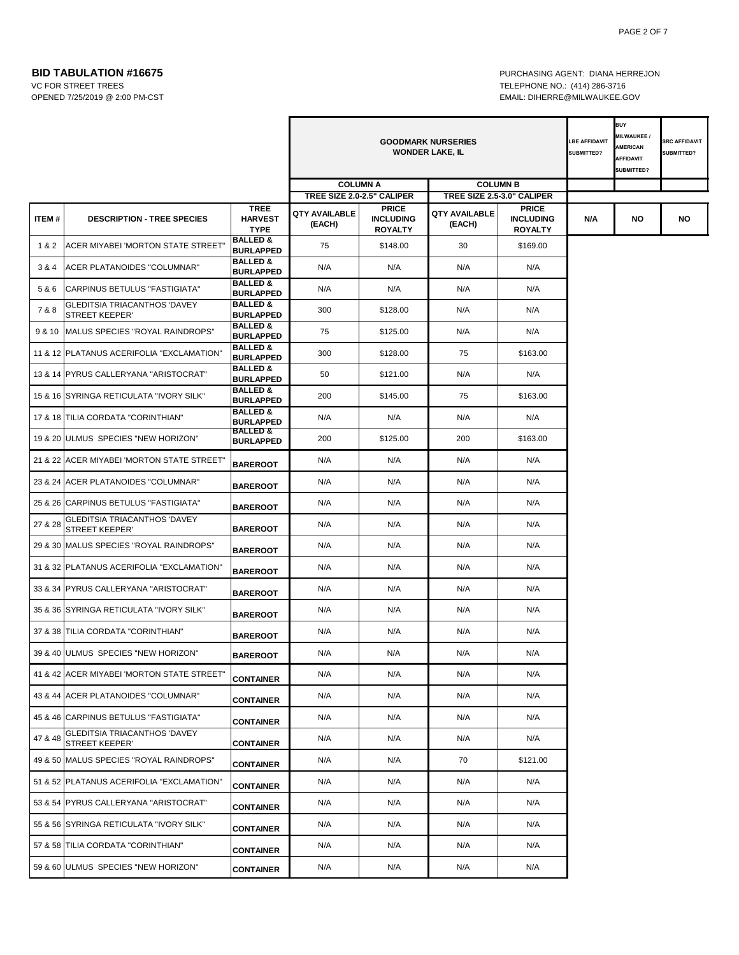**BID TABULATION #16675 PURCHASING AGENT: DIANA HERREJON** VC FOR STREET TREES TELEPHONE NO.: (414) 286-3716 OPENED 7/25/2019 @ 2:00 PM-CST EMAIL: DIHERRE@MILWAUKEE.GOV

|         |                                                                              |                                                                | <b>GOODMARK NURSERIES</b><br><b>LBE AFFIDAVIT</b><br><b>WONDER LAKE, IL</b><br><b>SUBMITTED?</b> |                                                    |                            |                                                    |     | <b>BUY</b><br>MILWAUKEE/<br><b>AMERICAN</b><br><b>AFFIDAVIT</b><br>SUBMITTED? | <b>SRC AFFIDAVIT</b><br>SUBMITTED? |
|---------|------------------------------------------------------------------------------|----------------------------------------------------------------|--------------------------------------------------------------------------------------------------|----------------------------------------------------|----------------------------|----------------------------------------------------|-----|-------------------------------------------------------------------------------|------------------------------------|
|         |                                                                              |                                                                |                                                                                                  | <b>COLUMN A</b>                                    | <b>COLUMN B</b>            |                                                    |     |                                                                               |                                    |
|         |                                                                              |                                                                | TREE SIZE 2.0-2.5" CALIPER                                                                       |                                                    | TREE SIZE 2.5-3.0" CALIPER |                                                    |     |                                                                               |                                    |
| ITEM#   | <b>DESCRIPTION - TREE SPECIES</b>                                            | <b>TREE</b><br><b>HARVEST</b><br><b>TYPE</b>                   | QTY AVAILABLE<br>(EACH)                                                                          | <b>PRICE</b><br><b>INCLUDING</b><br><b>ROYALTY</b> | QTY AVAILABLE<br>(EACH)    | <b>PRICE</b><br><b>INCLUDING</b><br><b>ROYALTY</b> | N/A | NO                                                                            | NO                                 |
| 1&2     | ACER MIYABEI 'MORTON STATE STREET'                                           | <b>BALLED &amp;</b><br><b>BURLAPPED</b>                        | 75                                                                                               | \$148.00                                           | 30                         | \$169.00                                           |     |                                                                               |                                    |
| 3&4     | ACER PLATANOIDES "COLUMNAR"                                                  | <b>BALLED &amp;</b><br><b>BURLAPPED</b>                        | N/A                                                                                              | N/A                                                | N/A                        | N/A                                                |     |                                                                               |                                    |
| 5&6     | CARPINUS BETULUS "FASTIGIATA"                                                | <b>BALLED &amp;</b><br><b>BURLAPPED</b>                        | N/A                                                                                              | N/A                                                | N/A                        | N/A                                                |     |                                                                               |                                    |
| 7 & 8   | <b>GLEDITSIA TRIACANTHOS 'DAVEY</b><br><b>STREET KEEPER'</b>                 | <b>BALLED &amp;</b><br><b>BURLAPPED</b>                        | 300                                                                                              | \$128.00                                           | N/A                        | N/A                                                |     |                                                                               |                                    |
| 9 & 10  | MALUS SPECIES "ROYAL RAINDROPS"                                              | <b>BALLED &amp;</b><br><b>BURLAPPED</b>                        | 75                                                                                               | \$125.00                                           | N/A                        | N/A                                                |     |                                                                               |                                    |
|         | 11 & 12 PLATANUS ACERIFOLIA "EXCLAMATION"                                    | <b>BALLED &amp;</b><br><b>BURLAPPED</b>                        | 300                                                                                              | \$128.00                                           | 75                         | \$163.00                                           |     |                                                                               |                                    |
|         | 13 & 14 PYRUS CALLERYANA "ARISTOCRAT"                                        | <b>BALLED &amp;</b><br><b>BURLAPPED</b>                        | 50                                                                                               | \$121.00                                           | N/A                        | N/A                                                |     |                                                                               |                                    |
|         | 15 & 16 SYRINGA RETICULATA "IVORY SILK"                                      | <b>BALLED &amp;</b><br><b>BURLAPPED</b>                        | 200                                                                                              | \$145.00                                           | 75                         | \$163.00                                           |     |                                                                               |                                    |
|         | 17 & 18 TILIA CORDATA "CORINTHIAN"                                           | <b>BALLED &amp;</b><br><b>BURLAPPED</b><br><b>BALLED &amp;</b> | N/A                                                                                              | N/A                                                | N/A                        | N/A                                                |     |                                                                               |                                    |
|         | 19 & 20 ULMUS SPECIES "NEW HORIZON"                                          | <b>BURLAPPED</b>                                               | 200                                                                                              | \$125.00                                           | 200                        | \$163.00                                           |     |                                                                               |                                    |
|         | 21 & 22 ACER MIYABEI 'MORTON STATE STREET'                                   | <b>BAREROOT</b>                                                | N/A                                                                                              | N/A                                                | N/A                        | N/A                                                |     |                                                                               |                                    |
|         | 23 & 24 ACER PLATANOIDES "COLUMNAR"                                          | <b>BAREROOT</b>                                                | N/A                                                                                              | N/A                                                | N/A                        | N/A                                                |     |                                                                               |                                    |
|         | 25 & 26 CARPINUS BETULUS "FASTIGIATA"<br><b>GLEDITSIA TRIACANTHOS 'DAVEY</b> | <b>BAREROOT</b>                                                | N/A                                                                                              | N/A                                                | N/A                        | N/A                                                |     |                                                                               |                                    |
| 27 & 28 | <b>STREET KEEPER'</b>                                                        | <b>BAREROOT</b>                                                | N/A                                                                                              | N/A                                                | N/A                        | N/A                                                |     |                                                                               |                                    |
|         | 29 & 30 MALUS SPECIES "ROYAL RAINDROPS"                                      | <b>BAREROOT</b>                                                | N/A                                                                                              | N/A                                                | N/A                        | N/A                                                |     |                                                                               |                                    |
|         | 31 & 32 PLATANUS ACERIFOLIA "EXCLAMATION"                                    | <b>BAREROOT</b>                                                | N/A                                                                                              | N/A                                                | N/A                        | N/A                                                |     |                                                                               |                                    |
|         | 33 & 34 PYRUS CALLERYANA "ARISTOCRAT"                                        | <b>BAREROOT</b>                                                | N/A                                                                                              | N/A                                                | N/A                        | N/A                                                |     |                                                                               |                                    |
|         | 35 & 36 SYRINGA RETICULATA "IVORY SILK"                                      | <b>BAREROOT</b>                                                | N/A                                                                                              | N/A                                                | N/A                        | N/A                                                |     |                                                                               |                                    |
|         | 37 & 38 TILIA CORDATA "CORINTHIAN"                                           | <b>BAREROOT</b>                                                | N/A                                                                                              | N/A                                                | N/A                        | N/A                                                |     |                                                                               |                                    |
|         | 39 & 40 ULMUS SPECIES "NEW HORIZON"                                          | <b>BAREROOT</b>                                                | N/A                                                                                              | N/A                                                | N/A                        | N/A                                                |     |                                                                               |                                    |
|         | 41 & 42 ACER MIYABEI 'MORTON STATE STREET"                                   | <b>CONTAINER</b>                                               | N/A                                                                                              | N/A                                                | N/A                        | N/A                                                |     |                                                                               |                                    |
|         | 43 & 44 ACER PLATANOIDES "COLUMNAR"                                          | <b>CONTAINER</b>                                               | N/A                                                                                              | N/A                                                | N/A                        | N/A                                                |     |                                                                               |                                    |
|         | 45 & 46 CARPINUS BETULUS "FASTIGIATA"<br><b>GLEDITSIA TRIACANTHOS 'DAVEY</b> | <b>CONTAINER</b>                                               | N/A                                                                                              | N/A                                                | N/A                        | N/A                                                |     |                                                                               |                                    |
| 47 & 48 | <b>STREET KEEPER'</b>                                                        | <b>CONTAINER</b>                                               | N/A                                                                                              | N/A                                                | N/A                        | N/A                                                |     |                                                                               |                                    |
|         | 49 & 50 MALUS SPECIES "ROYAL RAINDROPS"                                      | <b>CONTAINER</b>                                               | N/A                                                                                              | N/A                                                | 70                         | \$121.00                                           |     |                                                                               |                                    |
|         | 51 & 52 PLATANUS ACERIFOLIA "EXCLAMATION"                                    | <b>CONTAINER</b>                                               | N/A                                                                                              | N/A                                                | N/A                        | N/A                                                |     |                                                                               |                                    |
|         | 53 & 54 PYRUS CALLERYANA "ARISTOCRAT"                                        | <b>CONTAINER</b>                                               | N/A                                                                                              | N/A                                                | N/A                        | N/A                                                |     |                                                                               |                                    |
|         | 55 & 56 SYRINGA RETICULATA "IVORY SILK"                                      | <b>CONTAINER</b>                                               | N/A                                                                                              | N/A                                                | N/A                        | N/A                                                |     |                                                                               |                                    |
|         | 57 & 58 TILIA CORDATA "CORINTHIAN"                                           | <b>CONTAINER</b>                                               | N/A                                                                                              | N/A                                                | N/A                        | N/A                                                |     |                                                                               |                                    |
|         | 59 & 60 ULMUS SPECIES "NEW HORIZON"                                          | <b>CONTAINER</b>                                               | N/A                                                                                              | N/A                                                | N/A                        | N/A                                                |     |                                                                               |                                    |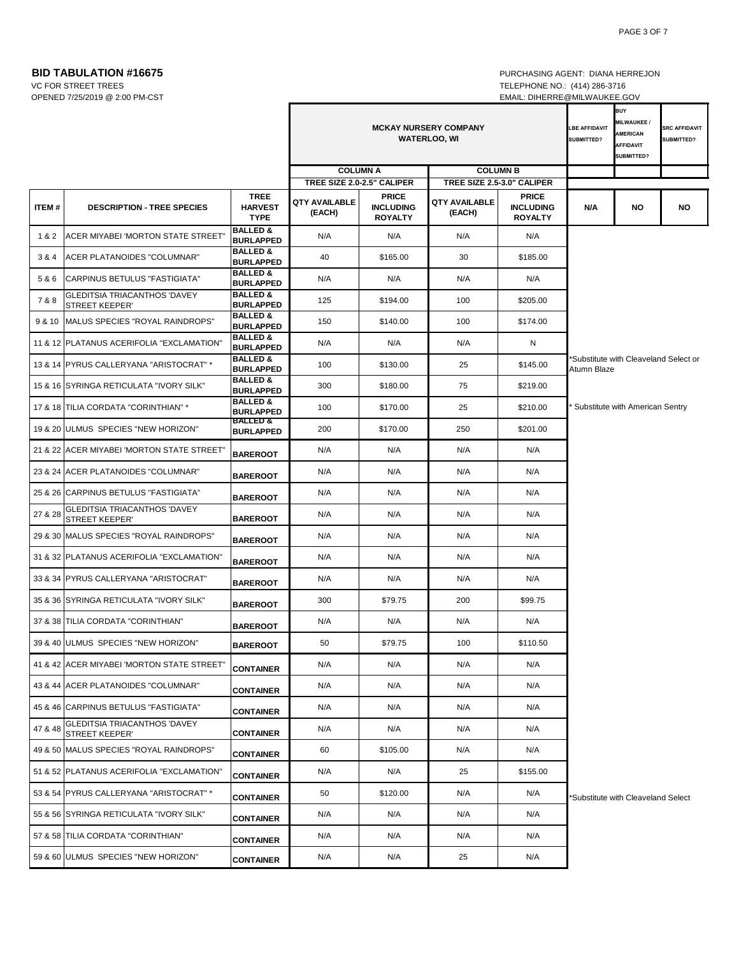**BID TABULATION #16675 PURCHASING AGENT: DIANA HERREJON** 

OPENED 7/25/2019 @ 2:00 PM-CST EMAIL: DIHERRE@MILWAUKEE.GOV

VC FOR STREET TREES TELEPHONE NO.: (414) 286-3716

|         |                                                              |                                              | <b>MCKAY NURSERY COMPANY</b><br><b>WATERLOO, WI</b><br><b>COLUMN A</b><br><b>COLUMN B</b> |                                                    |                                |                                                    | <b>LBE AFFIDAVIT</b><br>SUBMITTED? | <b>BUY</b><br><b>MILWAUKEE/</b><br><b>AMERICAN</b><br><b>AFFIDAVIT</b><br><b>SUBMITTED?</b> | <b>SRC AFFIDAVIT</b><br>SUBMITTED? |
|---------|--------------------------------------------------------------|----------------------------------------------|-------------------------------------------------------------------------------------------|----------------------------------------------------|--------------------------------|----------------------------------------------------|------------------------------------|---------------------------------------------------------------------------------------------|------------------------------------|
|         |                                                              |                                              |                                                                                           | TREE SIZE 2.0-2.5" CALIPER                         | TREE SIZE 2.5-3.0" CALIPER     |                                                    |                                    |                                                                                             |                                    |
| ITEM#   | <b>DESCRIPTION - TREE SPECIES</b>                            | <b>TREE</b><br><b>HARVEST</b><br><b>TYPE</b> | <b>QTY AVAILABLE</b><br>(EACH)                                                            | <b>PRICE</b><br><b>INCLUDING</b><br><b>ROYALTY</b> | <b>QTY AVAILABLE</b><br>(EACH) | <b>PRICE</b><br><b>INCLUDING</b><br><b>ROYALTY</b> | N/A                                | <b>NO</b>                                                                                   | <b>NO</b>                          |
| 1&2     | ACER MIYABEI 'MORTON STATE STREET'                           | <b>BALLED &amp;</b><br><b>BURLAPPED</b>      | N/A                                                                                       | N/A                                                | N/A                            | N/A                                                |                                    |                                                                                             |                                    |
| 3&4     | ACER PLATANOIDES "COLUMNAR"                                  | <b>BALLED &amp;</b><br><b>BURLAPPED</b>      | 40                                                                                        | \$165.00                                           | 30                             | \$185.00                                           |                                    |                                                                                             |                                    |
| 5&6     | CARPINUS BETULUS "FASTIGIATA"                                | <b>BALLED &amp;</b><br><b>BURLAPPED</b>      | N/A                                                                                       | N/A                                                | N/A                            | N/A                                                |                                    |                                                                                             |                                    |
| 7&8     | <b>GLEDITSIA TRIACANTHOS 'DAVEY</b><br><b>STREET KEEPER'</b> | <b>BALLED &amp;</b><br><b>BURLAPPED</b>      | 125                                                                                       | \$194.00                                           | 100                            | \$205.00                                           |                                    |                                                                                             |                                    |
| 9 & 10  | MALUS SPECIES "ROYAL RAINDROPS"                              | <b>BALLED &amp;</b><br><b>BURLAPPED</b>      | 150                                                                                       | \$140.00                                           | 100                            | \$174.00                                           |                                    |                                                                                             |                                    |
|         | 11 & 12 PLATANUS ACERIFOLIA "EXCLAMATION"                    | <b>BALLED &amp;</b><br><b>BURLAPPED</b>      | N/A                                                                                       | N/A                                                | N/A                            | N                                                  |                                    |                                                                                             |                                    |
|         | 13 & 14 PYRUS CALLERYANA "ARISTOCRAT" *                      | <b>BALLED &amp;</b><br><b>BURLAPPED</b>      | 100                                                                                       | \$130.00                                           | 25                             | \$145.00                                           | Atumn Blaze                        | Substitute with Cleaveland Select or                                                        |                                    |
|         | 15 & 16 SYRINGA RETICULATA "IVORY SILK"                      | <b>BALLED &amp;</b><br><b>BURLAPPED</b>      | 300                                                                                       | \$180.00                                           | 75                             | \$219.00                                           |                                    |                                                                                             |                                    |
|         | 17 & 18 TILIA CORDATA "CORINTHIAN" *                         | <b>BALLED &amp;</b><br><b>BURLAPPED</b>      | 100                                                                                       | \$170.00                                           | 25                             | \$210.00                                           |                                    | Substitute with American Sentry                                                             |                                    |
|         | 19 & 20 ULMUS SPECIES "NEW HORIZON"                          | <b>BALLED &amp;</b><br><b>BURLAPPED</b>      | 200                                                                                       | \$170.00                                           | 250                            | \$201.00                                           |                                    |                                                                                             |                                    |
|         | 21 & 22 ACER MIYABEI 'MORTON STATE STREET'                   | <b>BAREROOT</b>                              | N/A                                                                                       | N/A                                                | N/A                            | N/A                                                |                                    |                                                                                             |                                    |
|         | 23 & 24 ACER PLATANOIDES "COLUMNAR"                          | <b>BAREROOT</b>                              | N/A                                                                                       | N/A                                                | N/A                            | N/A                                                |                                    |                                                                                             |                                    |
|         | 25 & 26 CARPINUS BETULUS "FASTIGIATA"                        | <b>BAREROOT</b>                              | N/A                                                                                       | N/A                                                | N/A                            | N/A                                                |                                    |                                                                                             |                                    |
| 27 & 28 | <b>GLEDITSIA TRIACANTHOS 'DAVEY</b><br><b>STREET KEEPER'</b> | <b>BAREROOT</b>                              | N/A                                                                                       | N/A                                                | N/A                            | N/A                                                |                                    |                                                                                             |                                    |
|         | 29 & 30 MALUS SPECIES "ROYAL RAINDROPS"                      | <b>BAREROOT</b>                              | N/A                                                                                       | N/A                                                | N/A                            | N/A                                                |                                    |                                                                                             |                                    |
|         | 31 & 32 PLATANUS ACERIFOLIA "EXCLAMATION"                    | <b>BAREROOT</b>                              | N/A                                                                                       | N/A                                                | N/A                            | N/A                                                |                                    |                                                                                             |                                    |
|         | 33 & 34 PYRUS CALLERYANA "ARISTOCRAT"                        | <b>BAREROOT</b>                              | N/A                                                                                       | N/A                                                | N/A                            | N/A                                                |                                    |                                                                                             |                                    |
|         | 35 & 36 SYRINGA RETICULATA "IVORY SILK"                      | <b>BAREROOT</b>                              | 300                                                                                       | \$79.75                                            | 200                            | \$99.75                                            |                                    |                                                                                             |                                    |
|         | 37 & 38 TILIA CORDATA "CORINTHIAN"                           | <b>BAREROOT</b>                              | N/A                                                                                       | N/A                                                | N/A                            | N/A                                                |                                    |                                                                                             |                                    |
|         | 39 & 40 ULMUS SPECIES "NEW HORIZON"                          | <b>BAREROOT</b>                              | 50                                                                                        | \$79.75                                            | 100                            | \$110.50                                           |                                    |                                                                                             |                                    |
|         | 41 & 42 ACER MIYABEI 'MORTON STATE STREET'                   | <b>CONTAINER</b>                             | N/A                                                                                       | N/A                                                | N/A                            | N/A                                                |                                    |                                                                                             |                                    |
|         | 43 & 44 ACER PLATANOIDES "COLUMNAR"                          | <b>CONTAINER</b>                             | N/A                                                                                       | N/A                                                | N/A                            | N/A                                                |                                    |                                                                                             |                                    |
|         | 45 & 46 CARPINUS BETULUS "FASTIGIATA"                        | <b>CONTAINER</b>                             | N/A                                                                                       | N/A                                                | N/A                            | N/A                                                |                                    |                                                                                             |                                    |
| 47 & 48 | GLEDITSIA TRIACANTHOS 'DAVEY<br><b>STREET KEEPER'</b>        | <b>CONTAINER</b>                             | N/A                                                                                       | N/A                                                | N/A                            | N/A                                                |                                    |                                                                                             |                                    |
|         | 49 & 50 MALUS SPECIES "ROYAL RAINDROPS"                      | <b>CONTAINER</b>                             | 60                                                                                        | \$105.00                                           | N/A                            | N/A                                                |                                    |                                                                                             |                                    |
|         | 51 & 52 PLATANUS ACERIFOLIA "EXCLAMATION"                    | <b>CONTAINER</b>                             | N/A                                                                                       | N/A                                                | 25                             | \$155.00                                           |                                    |                                                                                             |                                    |
|         | 53 & 54 PYRUS CALLERYANA "ARISTOCRAT" *                      | <b>CONTAINER</b>                             | 50                                                                                        | \$120.00                                           | N/A                            | N/A                                                |                                    | Substitute with Cleaveland Select                                                           |                                    |
|         | 55 & 56 SYRINGA RETICULATA "IVORY SILK"                      | <b>CONTAINER</b>                             | N/A                                                                                       | N/A                                                | N/A                            | N/A                                                |                                    |                                                                                             |                                    |
|         | 57 & 58 TILIA CORDATA "CORINTHIAN"                           | <b>CONTAINER</b>                             | N/A                                                                                       | N/A                                                | N/A                            | N/A                                                |                                    |                                                                                             |                                    |
|         | 59 & 60 ULMUS SPECIES "NEW HORIZON"                          | <b>CONTAINER</b>                             | N/A                                                                                       | N/A                                                | 25                             | N/A                                                |                                    |                                                                                             |                                    |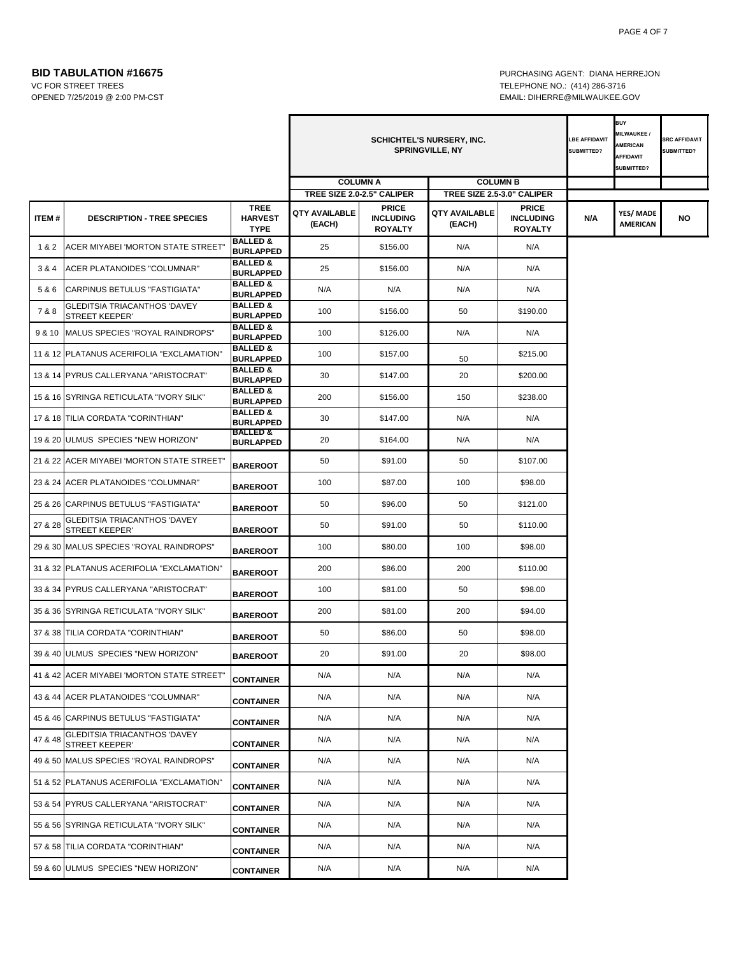OPENED 7/25/2019 @ 2:00 PM-CST EMAIL: DIHERRE@MILWAUKEE.GOV

Ŧ

**BID TABULATION #16675 PURCHASING AGENT: DIANA HERREJON** VC FOR STREET TREES TELEPHONE NO.: (414) 286-3716

|         |                                                              |                                              | <b>SCHICHTEL'S NURSERY, INC.</b><br><b>SPRINGVILLE, NY</b> |                                                    |                         |                                                    | <b>BUY</b><br>MILWAUKEE /<br>LBE AFFIDAVIT<br><b>AMERICAN</b><br>SUBMITTED?<br><b>AFFIDAVIT</b><br>SUBMITTED? |                              | <b>SRC AFFIDAVIT</b><br>SUBMITTED? |
|---------|--------------------------------------------------------------|----------------------------------------------|------------------------------------------------------------|----------------------------------------------------|-------------------------|----------------------------------------------------|---------------------------------------------------------------------------------------------------------------|------------------------------|------------------------------------|
|         |                                                              |                                              |                                                            | <b>COLUMN A</b>                                    |                         | <b>COLUMN B</b>                                    |                                                                                                               |                              |                                    |
|         |                                                              |                                              |                                                            | TREE SIZE 2.0-2.5" CALIPER                         |                         | TREE SIZE 2.5-3.0" CALIPER                         |                                                                                                               |                              |                                    |
| ITEM#   | <b>DESCRIPTION - TREE SPECIES</b>                            | <b>TREE</b><br><b>HARVEST</b><br><b>TYPE</b> | QTY AVAILABLE<br>(EACH)                                    | <b>PRICE</b><br><b>INCLUDING</b><br><b>ROYALTY</b> | QTY AVAILABLE<br>(EACH) | <b>PRICE</b><br><b>INCLUDING</b><br><b>ROYALTY</b> | N/A                                                                                                           | YES/ MADE<br><b>AMERICAN</b> | NO                                 |
| 1&2     | ACER MIYABEI 'MORTON STATE STREET'                           | <b>BALLED &amp;</b><br><b>BURLAPPED</b>      | 25                                                         | \$156.00                                           | N/A                     | N/A                                                |                                                                                                               |                              |                                    |
| 3 & 4   | ACER PLATANOIDES "COLUMNAR"                                  | <b>BALLED &amp;</b><br><b>BURLAPPED</b>      | 25                                                         | \$156.00                                           | N/A                     | N/A                                                |                                                                                                               |                              |                                    |
| 5&6     | CARPINUS BETULUS "FASTIGIATA"                                | <b>BALLED &amp;</b><br><b>BURLAPPED</b>      | N/A                                                        | N/A                                                | N/A                     | N/A                                                |                                                                                                               |                              |                                    |
| 7&8     | <b>GLEDITSIA TRIACANTHOS 'DAVEY</b><br><b>STREET KEEPER'</b> | <b>BALLED &amp;</b><br><b>BURLAPPED</b>      | 100                                                        | \$156.00                                           | 50                      | \$190.00                                           |                                                                                                               |                              |                                    |
|         | 9 & 10 MALUS SPECIES "ROYAL RAINDROPS"                       | <b>BALLED &amp;</b><br><b>BURLAPPED</b>      | 100                                                        | \$126.00                                           | N/A                     | N/A                                                |                                                                                                               |                              |                                    |
|         | 11 & 12 PLATANUS ACERIFOLIA "EXCLAMATION"                    | <b>BALLED &amp;</b><br><b>BURLAPPED</b>      | 100                                                        | \$157.00                                           | 50                      | \$215.00                                           |                                                                                                               |                              |                                    |
|         | 13 & 14 PYRUS CALLERYANA "ARISTOCRAT"                        | <b>BALLED &amp;</b><br><b>BURLAPPED</b>      | 30                                                         | \$147.00                                           | 20                      | \$200.00                                           |                                                                                                               |                              |                                    |
|         | 15 & 16 SYRINGA RETICULATA "IVORY SILK"                      | <b>BALLED &amp;</b><br><b>BURLAPPED</b>      | 200                                                        | \$156.00                                           | 150                     | \$238.00                                           |                                                                                                               |                              |                                    |
|         | 17 & 18 TILIA CORDATA "CORINTHIAN"                           | <b>BALLED &amp;</b><br><b>BURLAPPED</b>      | 30                                                         | \$147.00                                           | N/A                     | N/A                                                |                                                                                                               |                              |                                    |
|         | 19 & 20 ULMUS SPECIES "NEW HORIZON"                          | <b>BALLED &amp;</b><br><b>BURLAPPED</b>      | 20                                                         | \$164.00                                           | N/A                     | N/A                                                |                                                                                                               |                              |                                    |
|         | 21 & 22 ACER MIYABEI 'MORTON STATE STREET'                   | <b>BAREROOT</b>                              | 50                                                         | \$91.00                                            | 50                      | \$107.00                                           |                                                                                                               |                              |                                    |
|         | 23 & 24 ACER PLATANOIDES "COLUMNAR"                          | <b>BAREROOT</b>                              | 100                                                        | \$87.00                                            | 100                     | \$98.00                                            |                                                                                                               |                              |                                    |
|         | 25 & 26 CARPINUS BETULUS "FASTIGIATA"                        | <b>BAREROOT</b>                              | 50                                                         | \$96.00                                            | 50                      | \$121.00                                           |                                                                                                               |                              |                                    |
| 27 & 28 | GLEDITSIA TRIACANTHOS 'DAVEY<br>STREET KEEPER'               | <b>BAREROOT</b>                              | 50                                                         | \$91.00                                            | 50                      | \$110.00                                           |                                                                                                               |                              |                                    |
|         | 29 & 30 MALUS SPECIES "ROYAL RAINDROPS"                      | <b>BAREROOT</b>                              | 100                                                        | \$80.00                                            | 100                     | \$98.00                                            |                                                                                                               |                              |                                    |
|         | 31 & 32 PLATANUS ACERIFOLIA "EXCLAMATION"                    | <b>BAREROOT</b>                              | 200                                                        | \$86.00                                            | 200                     | \$110.00                                           |                                                                                                               |                              |                                    |
|         | 33 & 34 PYRUS CALLERYANA "ARISTOCRAT"                        | <b>BAREROOT</b>                              | 100                                                        | \$81.00                                            | 50                      | \$98.00                                            |                                                                                                               |                              |                                    |
|         | 35 & 36 SYRINGA RETICULATA "IVORY SILK"                      | <b>BAREROOT</b>                              | 200                                                        | \$81.00                                            | 200                     | \$94.00                                            |                                                                                                               |                              |                                    |
|         | 37 & 38 TILIA CORDATA "CORINTHIAN"                           | <b>BAREROOT</b>                              | 50                                                         | \$86.00                                            | 50                      | \$98.00                                            |                                                                                                               |                              |                                    |
|         | 39 & 40 ULMUS SPECIES "NEW HORIZON"                          | <b>BAREROOT</b>                              | 20                                                         | \$91.00                                            | 20                      | \$98.00                                            |                                                                                                               |                              |                                    |
|         | 41 & 42 ACER MIYABEI 'MORTON STATE STREET"                   | <b>CONTAINER</b>                             | N/A                                                        | N/A                                                | N/A                     | N/A                                                |                                                                                                               |                              |                                    |
|         | 43 & 44 ACER PLATANOIDES "COLUMNAR"                          | <b>CONTAINER</b>                             | N/A                                                        | N/A                                                | N/A                     | N/A                                                |                                                                                                               |                              |                                    |
|         | 45 & 46 CARPINUS BETULUS "FASTIGIATA"                        | <b>CONTAINER</b>                             | N/A                                                        | N/A                                                | N/A                     | N/A                                                |                                                                                                               |                              |                                    |
| 47 & 48 | GLEDITSIA TRIACANTHOS 'DAVEY<br><b>STREET KEEPER'</b>        | <b>CONTAINER</b>                             | N/A                                                        | N/A                                                | N/A                     | N/A                                                |                                                                                                               |                              |                                    |
|         | 49 & 50 MALUS SPECIES "ROYAL RAINDROPS"                      | <b>CONTAINER</b>                             | N/A                                                        | N/A                                                | N/A                     | N/A                                                |                                                                                                               |                              |                                    |
|         | 51 & 52 PLATANUS ACERIFOLIA "EXCLAMATION"                    | <b>CONTAINER</b>                             | N/A                                                        | N/A                                                | N/A                     | N/A                                                |                                                                                                               |                              |                                    |
|         | 53 & 54 PYRUS CALLERYANA "ARISTOCRAT"                        | <b>CONTAINER</b>                             | N/A                                                        | N/A                                                | N/A                     | N/A                                                |                                                                                                               |                              |                                    |
|         | 55 & 56 SYRINGA RETICULATA "IVORY SILK"                      | <b>CONTAINER</b>                             | N/A                                                        | N/A                                                | N/A                     | N/A                                                |                                                                                                               |                              |                                    |
|         | 57 & 58 TILIA CORDATA "CORINTHIAN"                           | <b>CONTAINER</b>                             | N/A                                                        | N/A                                                | N/A                     | N/A                                                |                                                                                                               |                              |                                    |
|         | 59 & 60 ULMUS SPECIES "NEW HORIZON"                          | <b>CONTAINER</b>                             | N/A                                                        | N/A                                                | N/A                     | N/A                                                |                                                                                                               |                              |                                    |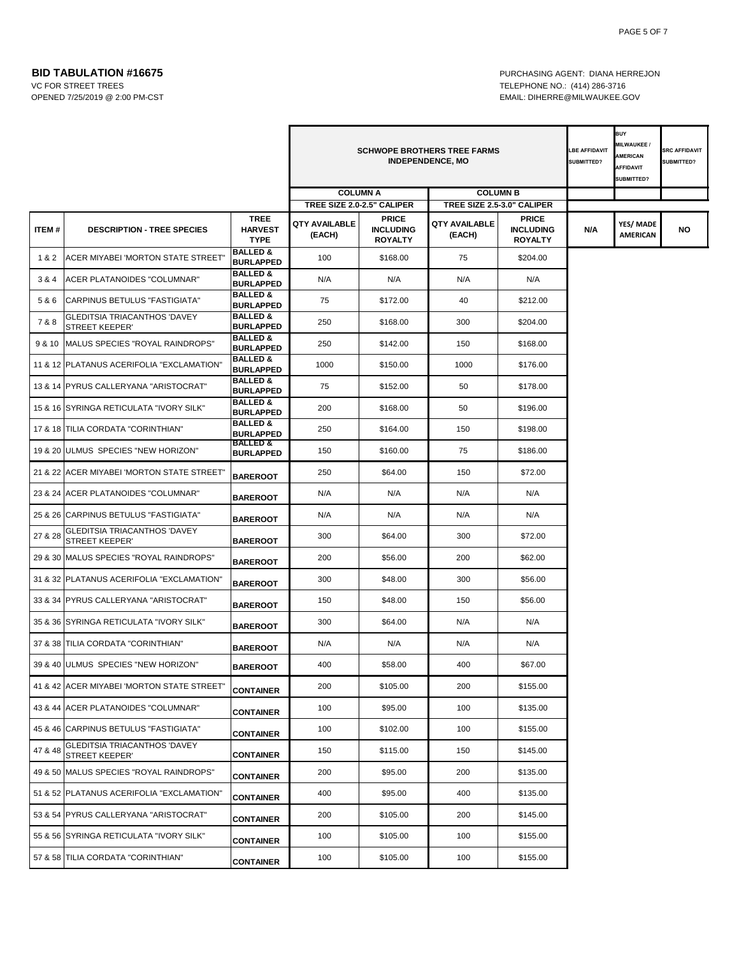OPENED 7/25/2019 @ 2:00 PM-CST EMAIL: DIHERRE@MILWAUKEE.GOV

**BID TABULATION #16675 PURCHASING AGENT: DIANA HERREJON** VC FOR STREET TREES TELEPHONE NO.: (414) 286-3716

|         |                                                              |                                              | <b>SCHWOPE BROTHERS TREE FARMS</b><br><b>INDEPENDENCE, MO</b> |                                                    |                                |                                                    | <b>LBE AFFIDAVIT</b><br><b>SUBMITTED?</b> | <b>BUY</b><br><b>MILWAUKEE/</b><br><b>AMERICAN</b><br><b>AFFIDAVIT</b><br>SUBMITTED? | <b>SRC AFFIDAVIT</b><br>SUBMITTED? |
|---------|--------------------------------------------------------------|----------------------------------------------|---------------------------------------------------------------|----------------------------------------------------|--------------------------------|----------------------------------------------------|-------------------------------------------|--------------------------------------------------------------------------------------|------------------------------------|
|         |                                                              |                                              | <b>COLUMN A</b>                                               |                                                    | <b>COLUMN B</b>                |                                                    |                                           |                                                                                      |                                    |
|         |                                                              |                                              | TREE SIZE 2.0-2.5" CALIPER                                    |                                                    | TREE SIZE 2.5-3.0" CALIPER     |                                                    |                                           |                                                                                      |                                    |
| ITEM#   | <b>DESCRIPTION - TREE SPECIES</b>                            | <b>TREE</b><br><b>HARVEST</b><br><b>TYPE</b> | <b>QTY AVAILABLE</b><br>(EACH)                                | <b>PRICE</b><br><b>INCLUDING</b><br><b>ROYALTY</b> | <b>QTY AVAILABLE</b><br>(EACH) | <b>PRICE</b><br><b>INCLUDING</b><br><b>ROYALTY</b> | N/A                                       | YES/ MADE<br><b>AMERICAN</b>                                                         | <b>NO</b>                          |
| 1&2     | ACER MIYABEI 'MORTON STATE STREET"                           | <b>BALLED &amp;</b><br><b>BURLAPPED</b>      | 100                                                           | \$168.00                                           | 75                             | \$204.00                                           |                                           |                                                                                      |                                    |
| 3 & 4   | ACER PLATANOIDES "COLUMNAR"                                  | <b>BALLED &amp;</b><br><b>BURLAPPED</b>      | N/A                                                           | N/A                                                | N/A                            | N/A                                                |                                           |                                                                                      |                                    |
| 5&6     | <b>CARPINUS BETULUS "FASTIGIATA"</b>                         | <b>BALLED &amp;</b><br><b>BURLAPPED</b>      | 75                                                            | \$172.00                                           | 40                             | \$212.00                                           |                                           |                                                                                      |                                    |
| 7 & 8   | <b>GLEDITSIA TRIACANTHOS 'DAVEY</b><br><b>STREET KEEPER'</b> | <b>BALLED &amp;</b><br><b>BURLAPPED</b>      | 250                                                           | \$168.00                                           | 300                            | \$204.00                                           |                                           |                                                                                      |                                    |
| 9 & 10  | MALUS SPECIES "ROYAL RAINDROPS"                              | <b>BALLED &amp;</b><br><b>BURLAPPED</b>      | 250                                                           | \$142.00                                           | 150                            | \$168.00                                           |                                           |                                                                                      |                                    |
|         | 11 & 12 PLATANUS ACERIFOLIA "EXCLAMATION"                    | <b>BALLED &amp;</b><br><b>BURLAPPED</b>      | 1000                                                          | \$150.00                                           | 1000                           | \$176.00                                           |                                           |                                                                                      |                                    |
|         | 13 & 14 PYRUS CALLERYANA "ARISTOCRAT"                        | <b>BALLED &amp;</b><br><b>BURLAPPED</b>      | 75                                                            | \$152.00                                           | 50                             | \$178.00                                           |                                           |                                                                                      |                                    |
|         | 15 & 16 SYRINGA RETICULATA "IVORY SILK"                      | <b>BALLED &amp;</b><br><b>BURLAPPED</b>      | 200                                                           | \$168.00                                           | 50                             | \$196.00                                           |                                           |                                                                                      |                                    |
|         | 17 & 18 TILIA CORDATA "CORINTHIAN"                           | <b>BALLED &amp;</b><br><b>BURLAPPED</b>      | 250                                                           | \$164.00                                           | 150                            | \$198.00                                           |                                           |                                                                                      |                                    |
|         | 19 & 20 ULMUS SPECIES "NEW HORIZON"                          | <b>BALLED &amp;</b><br><b>BURLAPPED</b>      | 150                                                           | \$160.00                                           | 75                             | \$186.00                                           |                                           |                                                                                      |                                    |
|         | 21 & 22 ACER MIYABEI 'MORTON STATE STREET"                   | <b>BAREROOT</b>                              | 250                                                           | \$64.00                                            | 150                            | \$72.00                                            |                                           |                                                                                      |                                    |
|         | 23 & 24 ACER PLATANOIDES "COLUMNAR"                          | <b>BAREROOT</b>                              | N/A                                                           | N/A                                                | N/A                            | N/A                                                |                                           |                                                                                      |                                    |
|         | 25 & 26 CARPINUS BETULUS "FASTIGIATA"                        | <b>BAREROOT</b>                              | N/A                                                           | N/A                                                | N/A                            | N/A                                                |                                           |                                                                                      |                                    |
| 27 & 28 | <b>GLEDITSIA TRIACANTHOS 'DAVEY</b><br><b>STREET KEEPER'</b> | <b>BAREROOT</b>                              | 300                                                           | \$64.00                                            | 300                            | \$72.00                                            |                                           |                                                                                      |                                    |
|         | 29 & 30 MALUS SPECIES "ROYAL RAINDROPS"                      | <b>BAREROOT</b>                              | 200                                                           | \$56.00                                            | 200                            | \$62.00                                            |                                           |                                                                                      |                                    |
|         | 31 & 32 PLATANUS ACERIFOLIA "EXCLAMATION"                    | <b>BAREROOT</b>                              | 300                                                           | \$48.00                                            | 300                            | \$56.00                                            |                                           |                                                                                      |                                    |
|         | 33 & 34 PYRUS CALLERYANA "ARISTOCRAT"                        | <b>BAREROOT</b>                              | 150                                                           | \$48.00                                            | 150                            | \$56.00                                            |                                           |                                                                                      |                                    |
|         | 35 & 36 SYRINGA RETICULATA "IVORY SILK"                      | <b>BAREROOT</b>                              | 300                                                           | \$64.00                                            | N/A                            | N/A                                                |                                           |                                                                                      |                                    |
|         | 37 & 38 TILIA CORDATA "CORINTHIAN"                           | <b>BAREROOT</b>                              | N/A                                                           | N/A                                                | N/A                            | N/A                                                |                                           |                                                                                      |                                    |
|         | 39 & 40 ULMUS SPECIES "NEW HORIZON"                          | <b>BAREROOT</b>                              | 400                                                           | \$58.00                                            | 400                            | \$67.00                                            |                                           |                                                                                      |                                    |
|         | 41 & 42 ACER MIYABEI 'MORTON STATE STREET"                   | <b>CONTAINER</b>                             | 200                                                           | \$105.00                                           | 200                            | \$155.00                                           |                                           |                                                                                      |                                    |
|         | 43 & 44 ACER PLATANOIDES "COLUMNAR"                          | <b>CONTAINER</b>                             | 100                                                           | \$95.00                                            | 100                            | \$135.00                                           |                                           |                                                                                      |                                    |
|         | 45 & 46 CARPINUS BETULUS "FASTIGIATA"                        | <b>CONTAINER</b>                             | 100                                                           | \$102.00                                           | 100                            | \$155.00                                           |                                           |                                                                                      |                                    |
| 47 & 48 | GLEDITSIA TRIACANTHOS 'DAVEY<br>STREET KEEPER'               | <b>CONTAINER</b>                             | 150                                                           | \$115.00                                           | 150                            | \$145.00                                           |                                           |                                                                                      |                                    |
|         | 49 & 50 MALUS SPECIES "ROYAL RAINDROPS"                      | <b>CONTAINER</b>                             | 200                                                           | \$95.00                                            | 200                            | \$135.00                                           |                                           |                                                                                      |                                    |
|         | 51 & 52 PLATANUS ACERIFOLIA "EXCLAMATION"                    | <b>CONTAINER</b>                             | 400                                                           | \$95.00                                            | 400                            | \$135.00                                           |                                           |                                                                                      |                                    |
|         | 53 & 54 PYRUS CALLERYANA "ARISTOCRAT"                        | <b>CONTAINER</b>                             | 200                                                           | \$105.00                                           | 200                            | \$145.00                                           |                                           |                                                                                      |                                    |
|         | 55 & 56 SYRINGA RETICULATA "IVORY SILK"                      | <b>CONTAINER</b>                             | 100                                                           | \$105.00                                           | 100                            | \$155.00                                           |                                           |                                                                                      |                                    |
|         | 57 & 58 TILIA CORDATA "CORINTHIAN"                           | <b>CONTAINER</b>                             | 100                                                           | \$105.00                                           | 100                            | \$155.00                                           |                                           |                                                                                      |                                    |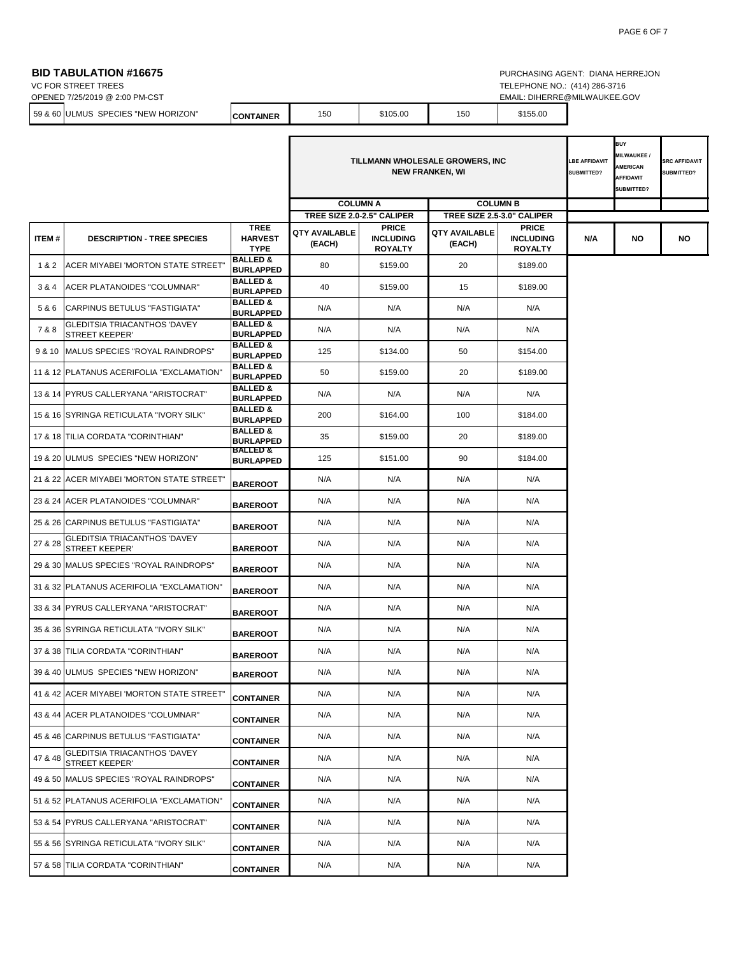## **BID TABULATION #16675 PURCHASING AGENT: DIANA HERREJON**

VC FOR STREET TREES TELEPHONE NO.: (414) 286-3716

|         | OPENED 7/25/2019 @ 2:00 PM-CST              |                  |     |          |     | EMAIL.   | : DIHERRE@MILWAUKEE.GOV |
|---------|---------------------------------------------|------------------|-----|----------|-----|----------|-------------------------|
| 59 & 60 | HORIZON"<br><b>SPECIES "NEW</b><br>) IULMUS | <b>CONTAINER</b> | 150 | \$105.00 | 150 | \$155.00 |                         |
|         |                                             |                  |     |          |     |          |                         |

|         |                                                              |                                              | <b>LBE AFFIDAVIT</b><br>TILLMANN WHOLESALE GROWERS, INC<br><b>NEW FRANKEN, WI</b><br>SUBMITTED? |                                                    |                                |                                                    |     | <b>BUY</b><br><b>MILWAUKEE</b><br><b>AMERICAN</b><br><b>AFFIDAVIT</b><br>SUBMITTED? | <b>SRC AFFIDAVIT</b><br>SUBMITTED? |
|---------|--------------------------------------------------------------|----------------------------------------------|-------------------------------------------------------------------------------------------------|----------------------------------------------------|--------------------------------|----------------------------------------------------|-----|-------------------------------------------------------------------------------------|------------------------------------|
|         |                                                              |                                              | TREE SIZE 2.0-2.5" CALIPER                                                                      | <b>COLUMN A</b>                                    | <b>COLUMN B</b>                | TREE SIZE 2.5-3.0" CALIPER                         |     |                                                                                     |                                    |
| ITEM#   | <b>DESCRIPTION - TREE SPECIES</b>                            | <b>TREE</b><br><b>HARVEST</b><br><b>TYPE</b> | <b>QTY AVAILABLE</b><br>(EACH)                                                                  | <b>PRICE</b><br><b>INCLUDING</b><br><b>ROYALTY</b> | <b>QTY AVAILABLE</b><br>(EACH) | <b>PRICE</b><br><b>INCLUDING</b><br><b>ROYALTY</b> | N/A | <b>NO</b>                                                                           | NO                                 |
| 1&2     | ACER MIYABEI 'MORTON STATE STREET"                           | <b>BALLED &amp;</b><br><b>BURLAPPED</b>      | 80                                                                                              | \$159.00                                           | 20                             | \$189.00                                           |     |                                                                                     |                                    |
| 3&4     | ACER PLATANOIDES "COLUMNAR"                                  | <b>BALLED &amp;</b><br><b>BURLAPPED</b>      | 40                                                                                              | \$159.00                                           | 15                             | \$189.00                                           |     |                                                                                     |                                    |
| 5&6     | CARPINUS BETULUS "FASTIGIATA"                                | <b>BALLED &amp;</b><br><b>BURLAPPED</b>      | N/A                                                                                             | N/A                                                | N/A                            | N/A                                                |     |                                                                                     |                                    |
| 7&8     | <b>GLEDITSIA TRIACANTHOS 'DAVEY</b><br><b>STREET KEEPER'</b> | <b>BALLED &amp;</b><br><b>BURLAPPED</b>      | N/A                                                                                             | N/A                                                | N/A                            | N/A                                                |     |                                                                                     |                                    |
|         | 9 & 10 MALUS SPECIES "ROYAL RAINDROPS"                       | <b>BALLED &amp;</b><br><b>BURLAPPED</b>      | 125                                                                                             | \$134.00                                           | 50                             | \$154.00                                           |     |                                                                                     |                                    |
|         | 11 & 12 PLATANUS ACERIFOLIA "EXCLAMATION"                    | <b>BALLED &amp;</b><br><b>BURLAPPED</b>      | 50                                                                                              | \$159.00                                           | 20                             | \$189.00                                           |     |                                                                                     |                                    |
|         | 13 & 14 PYRUS CALLERYANA "ARISTOCRAT"                        | <b>BALLED &amp;</b><br><b>BURLAPPED</b>      | N/A                                                                                             | N/A                                                | N/A                            | N/A                                                |     |                                                                                     |                                    |
|         | 15 & 16 SYRINGA RETICULATA "IVORY SILK"                      | <b>BALLED &amp;</b><br><b>BURLAPPED</b>      | 200                                                                                             | \$164.00                                           | 100                            | \$184.00                                           |     |                                                                                     |                                    |
|         | 17 & 18 TILIA CORDATA "CORINTHIAN"                           | <b>BALLED &amp;</b><br><b>BURLAPPED</b>      | 35                                                                                              | \$159.00                                           | 20                             | \$189.00                                           |     |                                                                                     |                                    |
|         | 19 & 20 ULMUS SPECIES "NEW HORIZON"                          | <b>BALLED &amp;</b><br><b>BURLAPPED</b>      | 125                                                                                             | \$151.00                                           | 90                             | \$184.00                                           |     |                                                                                     |                                    |
|         | 21 & 22 ACER MIYABEI 'MORTON STATE STREET'                   | <b>BAREROOT</b>                              | N/A                                                                                             | N/A                                                | N/A                            | N/A                                                |     |                                                                                     |                                    |
|         | 23 & 24 ACER PLATANOIDES "COLUMNAR"                          | <b>BAREROOT</b>                              | N/A                                                                                             | N/A                                                | N/A                            | N/A                                                |     |                                                                                     |                                    |
|         | 25 & 26 CARPINUS BETULUS "FASTIGIATA"                        | <b>BAREROOT</b>                              | N/A                                                                                             | N/A                                                | N/A                            | N/A                                                |     |                                                                                     |                                    |
| 27 & 28 | <b>GLEDITSIA TRIACANTHOS 'DAVEY</b><br><b>STREET KEEPER'</b> | <b>BAREROOT</b>                              | N/A                                                                                             | N/A                                                | N/A                            | N/A                                                |     |                                                                                     |                                    |
|         | 29 & 30 MALUS SPECIES "ROYAL RAINDROPS"                      | <b>BAREROOT</b>                              | N/A                                                                                             | N/A                                                | N/A                            | N/A                                                |     |                                                                                     |                                    |
|         | 31 & 32 PLATANUS ACERIFOLIA "EXCLAMATION"                    | <b>BAREROOT</b>                              | N/A                                                                                             | N/A                                                | N/A                            | N/A                                                |     |                                                                                     |                                    |
|         | 33 & 34 PYRUS CALLERYANA "ARISTOCRAT"                        | <b>BAREROOT</b>                              | N/A                                                                                             | N/A                                                | N/A                            | N/A                                                |     |                                                                                     |                                    |
|         | 35 & 36 SYRINGA RETICULATA "IVORY SILK"                      | <b>BAREROOT</b>                              | N/A                                                                                             | N/A                                                | N/A                            | N/A                                                |     |                                                                                     |                                    |
|         | 37 & 38 TILIA CORDATA "CORINTHIAN"                           | <b>BAREROOT</b>                              | N/A                                                                                             | N/A                                                | N/A                            | N/A                                                |     |                                                                                     |                                    |
|         | 39 & 40 ULMUS SPECIES "NEW HORIZON"                          | <b>BAREROOT</b>                              | N/A                                                                                             | N/A                                                | N/A                            | N/A                                                |     |                                                                                     |                                    |
|         | 41 & 42 ACER MIYABEI 'MORTON STATE STREET'                   | <b>CONTAINER</b>                             | N/A                                                                                             | N/A                                                | N/A                            | N/A                                                |     |                                                                                     |                                    |
|         | 43 & 44 ACER PLATANOIDES "COLUMNAR"                          | <b>CONTAINER</b>                             | N/A                                                                                             | N/A                                                | N/A                            | N/A                                                |     |                                                                                     |                                    |
|         | 45 & 46 CARPINUS BETULUS "FASTIGIATA"                        | <b>CONTAINER</b>                             | N/A                                                                                             | N/A                                                | N/A                            | N/A                                                |     |                                                                                     |                                    |
| 47 & 48 | GLEDITSIA TRIACANTHOS 'DAVEY<br><b>STREET KEEPER'</b>        | <b>CONTAINER</b>                             | N/A                                                                                             | N/A                                                | N/A                            | N/A                                                |     |                                                                                     |                                    |
|         | 49 & 50 MALUS SPECIES "ROYAL RAINDROPS"                      | <b>CONTAINER</b>                             | N/A                                                                                             | N/A                                                | N/A                            | N/A                                                |     |                                                                                     |                                    |
|         | 51 & 52 PLATANUS ACERIFOLIA "EXCLAMATION"                    | <b>CONTAINER</b>                             | N/A                                                                                             | N/A                                                | N/A                            | N/A                                                |     |                                                                                     |                                    |
|         | 53 & 54 PYRUS CALLERYANA "ARISTOCRAT"                        | <b>CONTAINER</b>                             | N/A                                                                                             | N/A                                                | N/A                            | N/A                                                |     |                                                                                     |                                    |
|         | 55 & 56 SYRINGA RETICULATA "IVORY SILK"                      | <b>CONTAINER</b>                             | N/A                                                                                             | N/A                                                | N/A                            | N/A                                                |     |                                                                                     |                                    |
|         | 57 & 58 TILIA CORDATA "CORINTHIAN"                           | <b>CONTAINER</b>                             | N/A                                                                                             | N/A                                                | N/A                            | N/A                                                |     |                                                                                     |                                    |